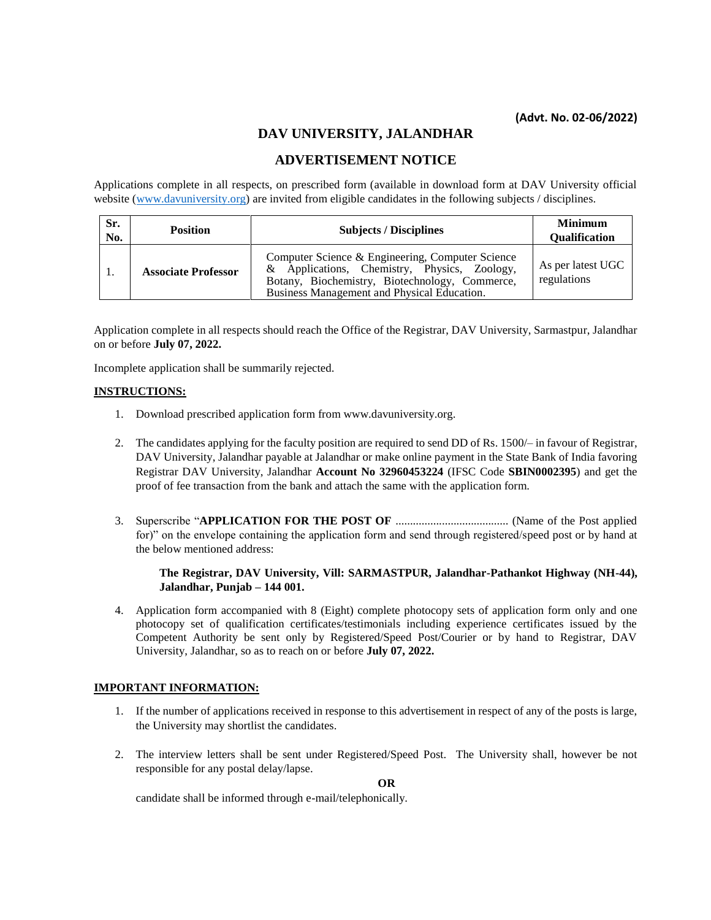# **DAV UNIVERSITY, JALANDHAR**

# **ADVERTISEMENT NOTICE**

Applications complete in all respects, on prescribed form (available in download form at DAV University official website [\(www.davuniversity.org\)](http://www.davuniversity.org/) are invited from eligible candidates in the following subjects / disciplines.

| Sr.<br>No. | <b>Position</b>            | <b>Subjects / Disciplines</b>                                                                                                                                                                     | <b>Minimum</b><br><b>Qualification</b> |
|------------|----------------------------|---------------------------------------------------------------------------------------------------------------------------------------------------------------------------------------------------|----------------------------------------|
|            | <b>Associate Professor</b> | Computer Science & Engineering, Computer Science<br>& Applications, Chemistry, Physics, Zoology,<br>Botany, Biochemistry, Biotechnology, Commerce,<br>Business Management and Physical Education. | As per latest UGC<br>regulations       |

Application complete in all respects should reach the Office of the Registrar, DAV University, Sarmastpur, Jalandhar on or before **July 07, 2022.**

Incomplete application shall be summarily rejected.

### **INSTRUCTIONS:**

- 1. Download prescribed application form from www.davuniversity.org.
- 2. The candidates applying for the faculty position are required to send DD of Rs. 1500/– in favour of Registrar, DAV University, Jalandhar payable at Jalandhar or make online payment in the State Bank of India favoring Registrar DAV University, Jalandhar **Account No 32960453224** (IFSC Code **SBIN0002395**) and get the proof of fee transaction from the bank and attach the same with the application form.
- 3. Superscribe "**APPLICATION FOR THE POST OF** ....................................... (Name of the Post applied for)" on the envelope containing the application form and send through registered/speed post or by hand at the below mentioned address:

### **The Registrar, DAV University, Vill: SARMASTPUR, Jalandhar-Pathankot Highway (NH-44), Jalandhar, Punjab – 144 001.**

4. Application form accompanied with 8 (Eight) complete photocopy sets of application form only and one photocopy set of qualification certificates/testimonials including experience certificates issued by the Competent Authority be sent only by Registered/Speed Post/Courier or by hand to Registrar, DAV University, Jalandhar, so as to reach on or before **July 07, 2022.**

### **IMPORTANT INFORMATION:**

- 1. If the number of applications received in response to this advertisement in respect of any of the posts is large, the University may shortlist the candidates.
- 2. The interview letters shall be sent under Registered/Speed Post. The University shall, however be not responsible for any postal delay/lapse.

**OR**

candidate shall be informed through e-mail/telephonically.